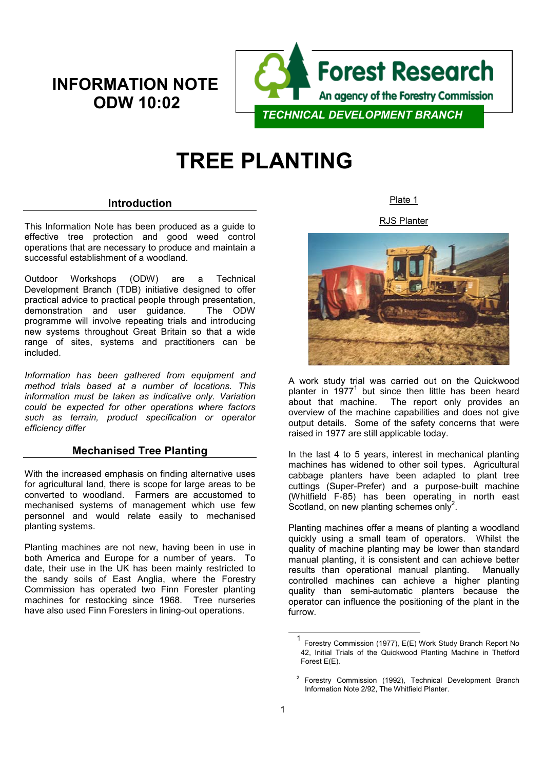# **INFORMATION NOTE ODW 10:02**



# **TREE PLANTING**

# **Introduction**

This Information Note has been produced as a guide to effective tree protection and good weed control operations that are necessary to produce and maintain a successful establishment of a woodland.

Outdoor Workshops (ODW) are a Technical Development Branch (TDB) initiative designed to offer practical advice to practical people through presentation, demonstration and user guidance. The ODW programme will involve repeating trials and introducing new systems throughout Great Britain so that a wide range of sites, systems and practitioners can be included.

*Information has been gathered from equipment and method trials based at a number of locations. This information must be taken as indicative only. Variation could be expected for other operations where factors such as terrain, product specification or operator efficiency differ*

# **Mechanised Tree Planting**

With the increased emphasis on finding alternative uses for agricultural land, there is scope for large areas to be converted to woodland. Farmers are accustomed to mechanised systems of management which use few personnel and would relate easily to mechanised planting systems.

Planting machines are not new, having been in use in both America and Europe for a number of years. To date, their use in the UK has been mainly restricted to the sandy soils of East Anglia, where the Forestry Commission has operated two Finn Forester planting machines for restocking since 1968. Tree nurseries have also used Finn Foresters in lining-out operations.

Plate 1

RJS Planter



A work study trial was carried out on the Quickwood planter in  $1977<sup>1</sup>$  but since then little has been heard about that machine. The report only provides an overview of the machine capabilities and does not give output details. Some of the safety concerns that were raised in 1977 are still applicable today.

In the last 4 to 5 years, interest in mechanical planting machines has widened to other soil types. Agricultural cabbage planters have been adapted to plant tree cuttings (Super-Prefer) and a purpose-built machine (Whitfield F-85) has been operating in north east Scotland, on new planting schemes only<sup>2</sup>.

Planting machines offer a means of planting a woodland quickly using a small team of operators. Whilst the quality of machine planting may be lower than standard manual planting, it is consistent and can achieve better results than operational manual planting. Manually controlled machines can achieve a higher planting quality than semi-automatic planters because the operator can influence the positioning of the plant in the furrow.

 <sup>1</sup> Forestry Commission (1977), E(E) Work Study Branch Report No 42, Initial Trials of the Quickwood Planting Machine in Thetford Forest E(E).

<sup>&</sup>lt;sup>2</sup> Forestry Commission (1992), Technical Development Branch Information Note 2/92, The Whitfield Planter.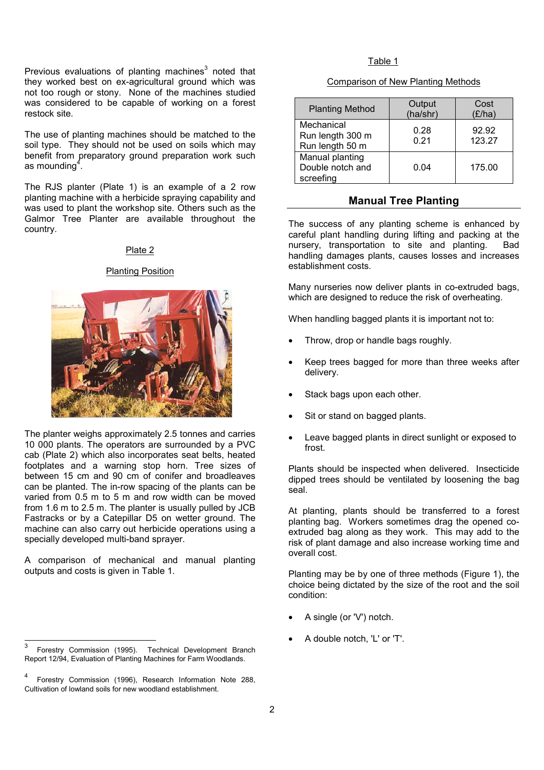Previous evaluations of planting machines $3$  noted that they worked best on ex-agricultural ground which was not too rough or stony. None of the machines studied was considered to be capable of working on a forest restock site.

The use of planting machines should be matched to the soil type. They should not be used on soils which may benefit from preparatory ground preparation work such as mounding<sup>4</sup>.

The RJS planter (Plate 1) is an example of a 2 row planting machine with a herbicide spraying capability and was used to plant the workshop site. Others such as the Galmor Tree Planter are available throughout the country.

### Plate 2

# Planting Position



The planter weighs approximately 2.5 tonnes and carries 10 000 plants. The operators are surrounded by a PVC cab (Plate 2) which also incorporates seat belts, heated footplates and a warning stop horn. Tree sizes of between 15 cm and 90 cm of conifer and broadleaves can be planted. The in-row spacing of the plants can be varied from 0.5 m to 5 m and row width can be moved from 1.6 m to 2.5 m. The planter is usually pulled by JCB Fastracks or by a Catepillar D5 on wetter ground. The machine can also carry out herbicide operations using a specially developed multi-band sprayer.

A comparison of mechanical and manual planting outputs and costs is given in Table 1.

#### Table 1

#### Comparison of New Planting Methods

| <b>Planting Method</b>                            | Output<br>(ha/shr) | Cost<br>(E/ha)  |
|---------------------------------------------------|--------------------|-----------------|
| Mechanical<br>Run length 300 m<br>Run length 50 m | 0.28<br>0.21       | 92.92<br>123.27 |
| Manual planting<br>Double notch and<br>screefing  | 0.04               | 175.00          |

# **Manual Tree Planting**

The success of any planting scheme is enhanced by careful plant handling during lifting and packing at the nursery, transportation to site and planting. Bad handling damages plants, causes losses and increases establishment costs.

Many nurseries now deliver plants in co-extruded bags, which are designed to reduce the risk of overheating.

When handling bagged plants it is important not to:

- Throw, drop or handle bags roughly.
- Keep trees bagged for more than three weeks after delivery.
- Stack bags upon each other.
- Sit or stand on bagged plants.
- Leave bagged plants in direct sunlight or exposed to frost.

Plants should be inspected when delivered. Insecticide dipped trees should be ventilated by loosening the bag seal.

At planting, plants should be transferred to a forest planting bag. Workers sometimes drag the opened coextruded bag along as they work. This may add to the risk of plant damage and also increase working time and overall cost.

Planting may be by one of three methods (Figure 1), the choice being dictated by the size of the root and the soil condition:

- A single (or 'V') notch.
- A double notch, 'L' or 'T'.

 $\mathbf{3}$ <sup>3</sup> Forestry Commission (1995). Technical Development Branch Report 12/94, Evaluation of Planting Machines for Farm Woodlands.

<sup>4</sup> Forestry Commission (1996), Research Information Note 288, Cultivation of lowland soils for new woodland establishment.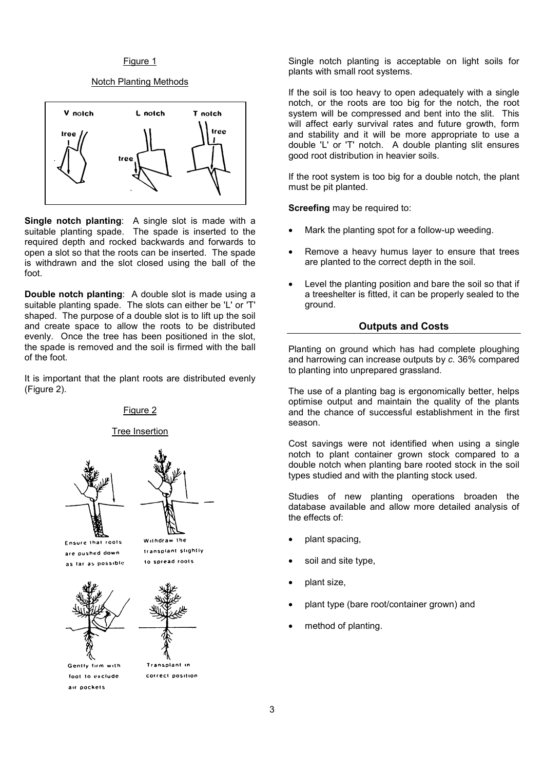#### Figure 1

#### Notch Planting Methods



**Single notch planting**: A single slot is made with a suitable planting spade. The spade is inserted to the required depth and rocked backwards and forwards to open a slot so that the roots can be inserted. The spade is withdrawn and the slot closed using the ball of the foot.

**Double notch planting**: A double slot is made using a suitable planting spade. The slots can either be 'L' or 'T' shaped. The purpose of a double slot is to lift up the soil and create space to allow the roots to be distributed evenly. Once the tree has been positioned in the slot, the spade is removed and the soil is firmed with the ball of the foot.

It is important that the plant roots are distributed evenly (Figure 2).

#### Figure 2

#### Tree Insertion





Ensure that roots are pushed down as far as possible



Gently firm with foot to exclude air pockets

Withdraw the transplant slightly to spread roots





Transplant in correct position

Single notch planting is acceptable on light soils for plants with small root systems.

If the soil is too heavy to open adequately with a single notch, or the roots are too big for the notch, the root system will be compressed and bent into the slit. This will affect early survival rates and future growth, form and stability and it will be more appropriate to use a double 'L' or 'T' notch. A double planting slit ensures good root distribution in heavier soils.

If the root system is too big for a double notch, the plant must be pit planted.

**Screefing** may be required to:

- Mark the planting spot for a follow-up weeding.
- Remove a heavy humus layer to ensure that trees are planted to the correct depth in the soil.
- Level the planting position and bare the soil so that if a treeshelter is fitted, it can be properly sealed to the ground.

# **Outputs and Costs**

Planting on ground which has had complete ploughing and harrowing can increase outputs by *c.* 36% compared to planting into unprepared grassland.

The use of a planting bag is ergonomically better, helps optimise output and maintain the quality of the plants and the chance of successful establishment in the first season.

Cost savings were not identified when using a single notch to plant container grown stock compared to a double notch when planting bare rooted stock in the soil types studied and with the planting stock used.

Studies of new planting operations broaden the database available and allow more detailed analysis of the effects of:

- plant spacing,
- soil and site type,
- plant size,
- plant type (bare root/container grown) and
- method of planting.